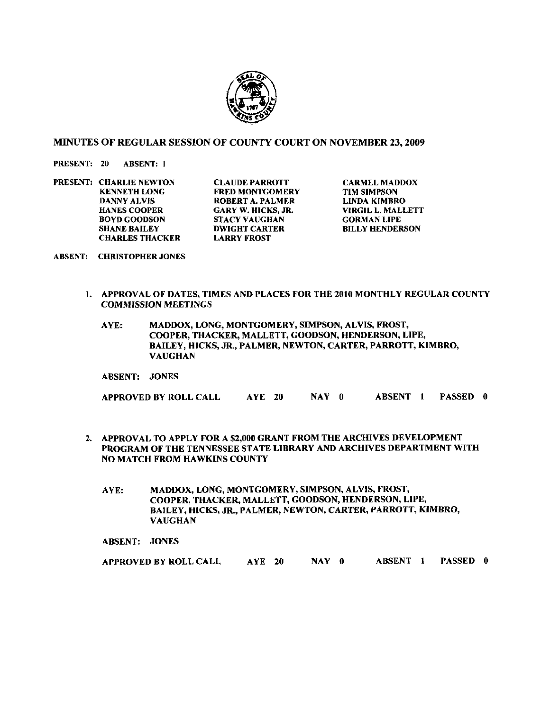

## MINUTES OF REGULAR SESSION OF COUNTY COURT ON NOVEMBER 23,2009

PRESENT: 20 ABSENT: 1

**PRESENT: CHARLIE NEWTON CLAUDE PARROTT CARMEL MADDOX**<br> **EXEMINE RED MONTGOMERY TIM SIMPSON** BOYD GOODSON STACY VAUGHAN<br>SHANE BAILEY DWIGHT CARTER **CHARLES THACKER** 

KENNETH LONG FRED MONTGOMERY TIM SIMPSON<br>DANNY ALVIS ROBERT A. PALMER LINDA KIMBRO **DANNY ALVIS ROBERT A. PALMER<br>HANES COOPER GARY W. HICKS, JR.** HANES COOPER GARY W. HICKS, **JR.** VIRGIL L. MALLETT **DWIGHT CARTER BILLY HENDERSON<br>LARRY FROST** 

- ABSENT: CHRISTOPHER JONES
	- I. APPROVAL OF DATES, TlMES AND PLACES FOR THE 2010 MONTHLY REGULAR COUNTY COMMISSION MEETINGS
		- AYE: MADDOX, LONG, MONTGOMERY, SIMPSON, ALVIS, FROST, COOPER, THACKER, MALLETT, GOODSON, HENDERSON, LIPE, BAILEY, HICKS, **JR.,** PALMER, NEWTON, CARTER, PARROTT, KIMBRO, VAUGHAN

ABSENT: JONES

APPROVED BY ROLL CALL AYE 20 NAY **0** ABSENT 1 PASSED 0

- 2. APPROVAL TO APPLY FOR A \$2,000 GRANT FROM THE ARCHIVES DEVELOPMENT PROGRAM OF THE TENNESSEE STATE LIBRARY AND ARCHIVES DEPARTMENT WITH NO MATCH FROM HAWKINS COUNTY
	- AYE: MADDOX, LONG, MONTGOMERY, SIMPSON, ALVIS, FROST, COOPER, THACKER, MALLETT, GOODSON, HENDERSON, LIPE, BAILEY, HICKS, **JR.,** PALMER, NEWTON, CARTER, PARROTT, KIMBRO, VAUGHAN

ABSENT: JONES

APPROVED BY ROLL CALL AYE 20 NAY 0 ABSENT 1 PASSED 0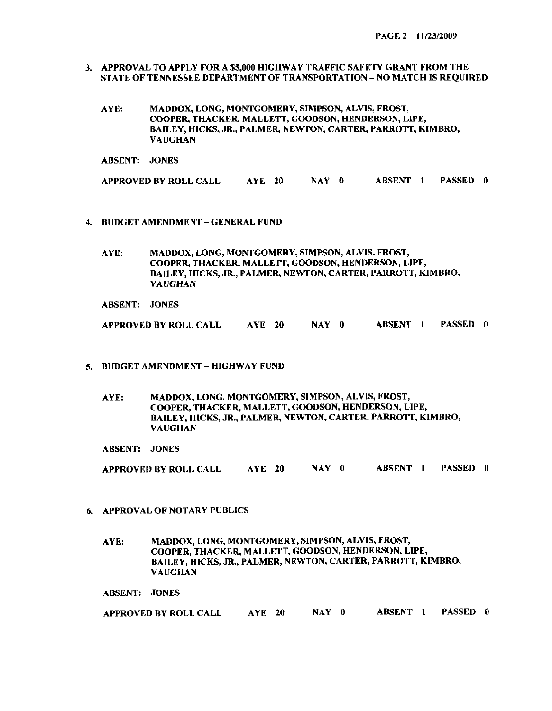- **3.** APPROVAL TO APPLY FOR A \$5,000 HIGHWAY TRAFFIC SAFETY GRANT FROM THE STATE OF TENNESSEE DEPARTMENT OF TRANSPORTATION - NO MATCH IS REQUIRED
	- AYE: MADDOX, LONG, MONTGOMERY, SIMPSON, ALVIS, FROST, COOPER, THACKER, MALLETT, GOODSON, HENDERSON, LIPE, BAILEY, HICKS, JR., PALMER, NEWTON, CARTER, PARROTT, KIMBRO, VAUGHAN

ABSENT: JONES APPROVED BY ROLL CALL AYE 20 NAY 0 ABSENT 1 PASSED 0

- **4.** BUDGET AMENDMENT GENERAL FUND
	- AYE: MADDOX, LONG, MONTGOMERY, SIMPSON, ALVIS, FROST, COOPER, THACKER, MALLETT, GOODSON, HENDERSON, LIPE, BAILEY, HICKS, **JR.,** PALMER, NEWTON, CARTER, PARROTT, KIMBRO, VAUGHAN
	- ABSENT: JONES

APPROVED BY ROLL CALL AYE 20 NAY 0 ABSENT I PASSED 0

- 5. BUDGET AMENDMENT- HIGHWAY FUND
	- AYE: MADDOX, LONG, MONTGOMERY, SIMPSON, ALVIS, FROST, COOPER, THACKER. MALLETT, GOODSON, HENDERSON, LIPE, BAILEY, HICKS, JR., PALMER, NEWTON, CARTER, PARROTT, KIMBRO, VAUGHAN

ABSENT: JONES

APPROVED BY ROLL CALL AYE 20 NAY 0 ABSENT 1 PASSED 0

6. APPROVAL OF NOTARY PUBLICS

AYE: MADDOX, LONG, MONTGOMERY, SIMPSON, ALVIS, FROST, COOPER, THACKER, MALLETT, GOODSON, HENDERSON, LIPE, BAILEY, HICKS, JR., PALMER, NEWTON, CARTER, PARROTT, KIMBRO, VAUGHAN

ABSENT: JONES

| APPROVED BY ROLL CALL | <b>AYE</b> 20 | NAY 0 | ABSENT 1 | PASSED 0 |  |
|-----------------------|---------------|-------|----------|----------|--|
|                       |               |       |          |          |  |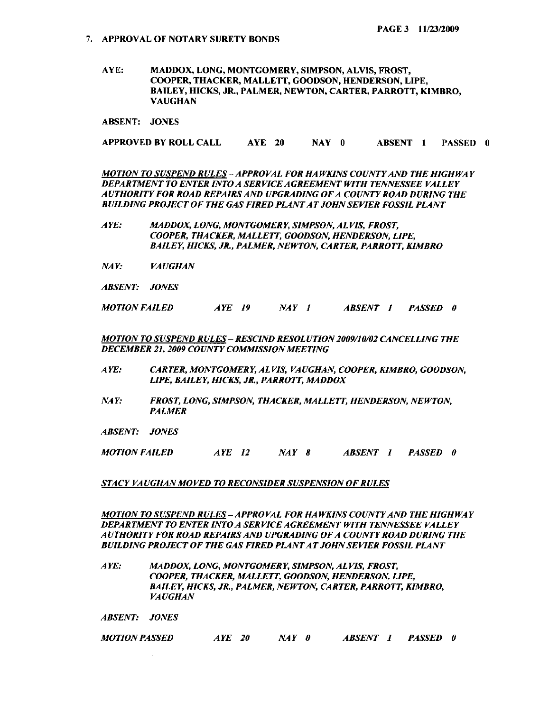**AYE: MADDOX, LONG, MONTGOMERY, SIMPSON, ALVIS, FROST, COOPER, THACKER, MALLETT, GOODSON, HENDERSON, LIPE, BAILEY, HICKS, JR, PALMER, NEWTON, CARTER, PARROTT, KIMBRO, VAUGHAN** 

**ABSENT: JONES** 

**APPROVED BY ROLL CALL AYE 20 NAY 0 ABSENT I PASSED 0** 

*.MOTlO.V TO SUSPEVD RULES* - *APPROVAI. FOX HA WK1.W COU.VTY AND TllE HIGHWA Y*  **DEPARTMENT TO ENTER INTO A SERVICE AGREEMENT WITH TENNESSEE VALLEY** *AUTHORITY FOR ROAD REPAIRS AND UPGRADING OFA COUNTYROAD DURING THE BUILDING PROJECT OF THE GAS FIRED PLANTAT JOHNSEVIER FOSSIL PLANT* 

- **.4** *YE: .+fADDOX, I-OVG, MO.WI%OMERY, SIMP.SON, A1.VI.S. FROST,*  COOPER, THACKER, MALLETT, GOODSON, HENDERSON, LIPE, BAILEY, HICKS, JR., PALMER, NEWTON, CARTER, PARROTT, KIMBRO
- *NAY: VA UGHAN*
- *ABSENT: JONES*

*MOTION FAILED AYE 19 NAY I ABSENT I PASSED 0* 

*MOTION TO SUSPEND RULES - RESCIND RESOLUTION 2009/10/02 CANCELLING THE DECEMBER 21, 2009 COUNTY COMMISSION MEETING* 

- *A YE: CARTER, MONTGOMERY, ALVIS, VAUGHAN, COOPER, KIMBRO, GOODSON, LIPE, BAILEY, HICKS, JR., PARROTT, MADDOX*
- *NAY: FROST, LONG, SIMPSON, THACKER, MALLETT, HENDERSON, NEWTON, PALMER*
- *ABSENT: JONES*

*MOTION FAILED AYE I2 NAY 8 ABSENT I PASSED 0* 

## *STACY VAUGHAN MOVED TO RECONSIDER SUSPENSION OF RULES*

*MOTION TO SUSPEND RULES* - *APPROVAL FOR HA WKINS COUNTY AND THE HIGHWA Y DEPARTMENT TO ENTER INTO A SERVICE AGREEMENT WITH TENNESSEE VALLEY AUTHORITY FOR ROAD REPAZRSAND UPGRADING OFA COUNTYROAD DURING THE BUILDING PROJECT OF THE GAS FIRED PLANTAT JOHNSEVIER FOSSIL PLANT* 

*A YE: MADDOX, LONG, MONTGOMERY, SIMPSON, ALVIS, FROST, COOPER, THACKER, MALLETT, GOODSON, HENDERSON, LIPE, BAILEY, HICKS, JR., PALMER, NEWTON, CARTER, PARROTT, KIMBRO, VA UGHAN* 

*ABSENT: JONES* 

*MOTION PASSED AYE 20 NAY 0 ABSENT I PASSED 0*